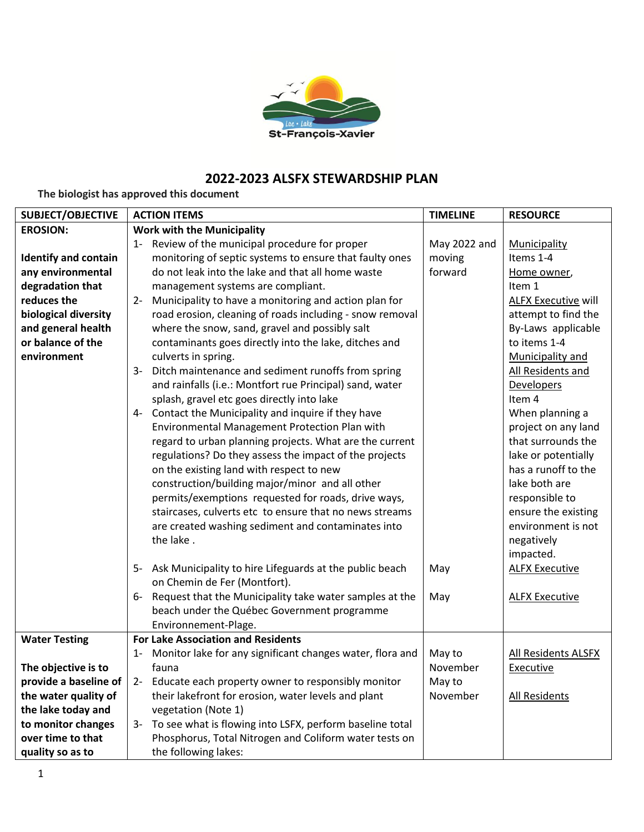

## **2022-2023 ALSFX STEWARDSHIP PLAN**

**The biologist has approved this document**

| <b>SUBJECT/OBJECTIVE</b>    | <b>ACTION ITEMS</b>                                                | <b>TIMELINE</b> | <b>RESOURCE</b>            |
|-----------------------------|--------------------------------------------------------------------|-----------------|----------------------------|
| <b>EROSION:</b>             | <b>Work with the Municipality</b>                                  |                 |                            |
|                             | 1- Review of the municipal procedure for proper                    | May 2022 and    | Municipality               |
| <b>Identify and contain</b> | monitoring of septic systems to ensure that faulty ones            | moving          | Items 1-4                  |
| any environmental           | do not leak into the lake and that all home waste                  | forward         | Home owner,                |
| degradation that            | management systems are compliant.                                  |                 | Item 1                     |
| reduces the                 | Municipality to have a monitoring and action plan for<br>$2 -$     |                 | <b>ALFX Executive will</b> |
| biological diversity        | road erosion, cleaning of roads including - snow removal           |                 | attempt to find the        |
| and general health          | where the snow, sand, gravel and possibly salt                     |                 | By-Laws applicable         |
| or balance of the           | contaminants goes directly into the lake, ditches and              |                 | to items 1-4               |
| environment                 | culverts in spring.                                                |                 | Municipality and           |
|                             | 3- Ditch maintenance and sediment runoffs from spring              |                 | All Residents and          |
|                             | and rainfalls (i.e.: Montfort rue Principal) sand, water           |                 | Developers                 |
|                             | splash, gravel etc goes directly into lake                         |                 | Item 4                     |
|                             | 4- Contact the Municipality and inquire if they have               |                 | When planning a            |
|                             | Environmental Management Protection Plan with                      |                 | project on any land        |
|                             | regard to urban planning projects. What are the current            |                 | that surrounds the         |
|                             | regulations? Do they assess the impact of the projects             |                 | lake or potentially        |
|                             | on the existing land with respect to new                           |                 | has a runoff to the        |
|                             | construction/building major/minor and all other                    |                 | lake both are              |
|                             | permits/exemptions requested for roads, drive ways,                |                 | responsible to             |
|                             | staircases, culverts etc to ensure that no news streams            |                 | ensure the existing        |
|                             | are created washing sediment and contaminates into                 |                 | environment is not         |
|                             | the lake.                                                          |                 | negatively                 |
|                             |                                                                    |                 | impacted.                  |
|                             | 5- Ask Municipality to hire Lifeguards at the public beach         | May             | <b>ALFX Executive</b>      |
|                             | on Chemin de Fer (Montfort).                                       |                 |                            |
|                             | 6- Request that the Municipality take water samples at the         | May             | <b>ALFX Executive</b>      |
|                             | beach under the Québec Government programme                        |                 |                            |
|                             | Environnement-Plage.                                               |                 |                            |
| <b>Water Testing</b>        | <b>For Lake Association and Residents</b>                          |                 |                            |
|                             | Monitor lake for any significant changes water, flora and<br>$1 -$ | May to          | All Residents ALSFX        |
| The objective is to         | fauna                                                              | November        | <b>Executive</b>           |
| provide a baseline of       | Educate each property owner to responsibly monitor<br>$2 -$        | May to          |                            |
| the water quality of        | their lakefront for erosion, water levels and plant                | November        | <b>All Residents</b>       |
| the lake today and          | vegetation (Note 1)                                                |                 |                            |
| to monitor changes          | 3- To see what is flowing into LSFX, perform baseline total        |                 |                            |
| over time to that           | Phosphorus, Total Nitrogen and Coliform water tests on             |                 |                            |
| quality so as to            | the following lakes:                                               |                 |                            |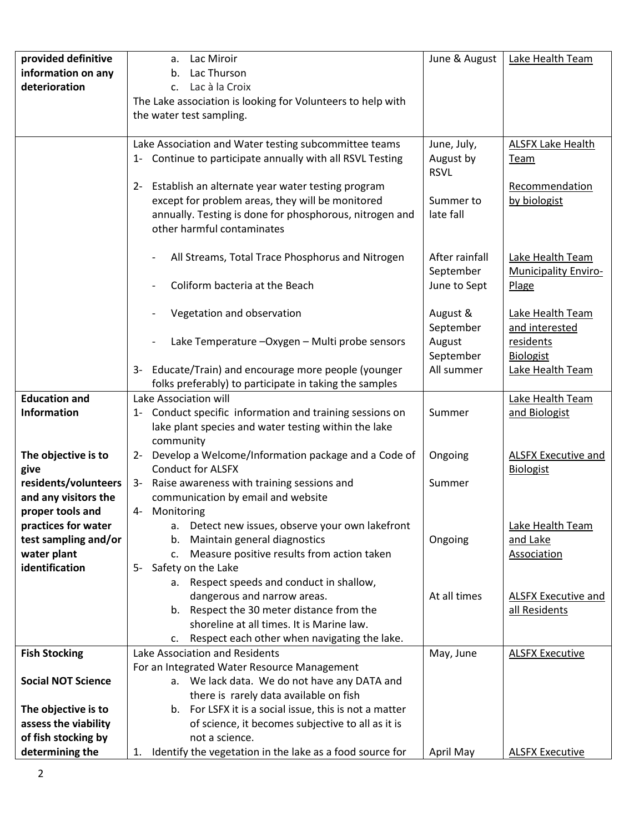| provided definitive       | Lac Miroir<br>а.                                                                                                 | June & August  | Lake Health Team                            |
|---------------------------|------------------------------------------------------------------------------------------------------------------|----------------|---------------------------------------------|
| information on any        | Lac Thurson<br>b.                                                                                                |                |                                             |
| deterioration             | Lac à la Croix<br>C <sub>1</sub>                                                                                 |                |                                             |
|                           | The Lake association is looking for Volunteers to help with<br>the water test sampling.                          |                |                                             |
|                           |                                                                                                                  |                |                                             |
|                           | Lake Association and Water testing subcommittee teams                                                            | June, July,    | <b>ALSFX Lake Health</b>                    |
|                           | 1- Continue to participate annually with all RSVL Testing                                                        | August by      | <b>Team</b>                                 |
|                           |                                                                                                                  | <b>RSVL</b>    |                                             |
|                           | 2- Establish an alternate year water testing program                                                             |                | Recommendation                              |
|                           | except for problem areas, they will be monitored                                                                 | Summer to      | by biologist                                |
|                           | annually. Testing is done for phosphorous, nitrogen and                                                          | late fall      |                                             |
|                           | other harmful contaminates                                                                                       |                |                                             |
|                           | All Streams, Total Trace Phosphorus and Nitrogen                                                                 | After rainfall | Lake Health Team                            |
|                           |                                                                                                                  | September      | <b>Municipality Enviro-</b>                 |
|                           | Coliform bacteria at the Beach                                                                                   | June to Sept   | Plage                                       |
|                           |                                                                                                                  |                |                                             |
|                           | Vegetation and observation                                                                                       | August &       | Lake Health Team                            |
|                           |                                                                                                                  | September      | and interested                              |
|                           | Lake Temperature - Oxygen - Multi probe sensors                                                                  | August         | residents                                   |
|                           |                                                                                                                  | September      | <b>Biologist</b>                            |
|                           | Educate/Train) and encourage more people (younger<br>3-                                                          | All summer     | Lake Health Team                            |
|                           | folks preferably) to participate in taking the samples                                                           |                |                                             |
| <b>Education and</b>      | Lake Association will                                                                                            |                | Lake Health Team                            |
| <b>Information</b>        | 1- Conduct specific information and training sessions on<br>lake plant species and water testing within the lake | Summer         | and Biologist                               |
|                           | community                                                                                                        |                |                                             |
| The objective is to       | 2- Develop a Welcome/Information package and a Code of                                                           | Ongoing        | <b>ALSFX Executive and</b>                  |
| give                      | <b>Conduct for ALSFX</b>                                                                                         |                | <b>Biologist</b>                            |
| residents/volunteers      | 3- Raise awareness with training sessions and                                                                    | Summer         |                                             |
| and any visitors the      | communication by email and website                                                                               |                |                                             |
| proper tools and          | 4- Monitoring                                                                                                    |                |                                             |
| practices for water       | a. Detect new issues, observe your own lakefront                                                                 |                | Lake Health Team                            |
| test sampling and/or      | Maintain general diagnostics<br>b.                                                                               | Ongoing        | and Lake                                    |
| water plant               | Measure positive results from action taken<br>c.                                                                 |                | Association                                 |
| identification            | 5- Safety on the Lake                                                                                            |                |                                             |
|                           | a. Respect speeds and conduct in shallow,                                                                        |                |                                             |
|                           | dangerous and narrow areas.<br>b. Respect the 30 meter distance from the                                         | At all times   | <b>ALSFX Executive and</b><br>all Residents |
|                           | shoreline at all times. It is Marine law.                                                                        |                |                                             |
|                           | Respect each other when navigating the lake.<br>c.                                                               |                |                                             |
| <b>Fish Stocking</b>      | Lake Association and Residents                                                                                   | May, June      | <b>ALSFX Executive</b>                      |
|                           | For an Integrated Water Resource Management                                                                      |                |                                             |
| <b>Social NOT Science</b> | a. We lack data. We do not have any DATA and                                                                     |                |                                             |
|                           | there is rarely data available on fish                                                                           |                |                                             |
| The objective is to       | b. For LSFX it is a social issue, this is not a matter                                                           |                |                                             |
| assess the viability      | of science, it becomes subjective to all as it is                                                                |                |                                             |
| of fish stocking by       | not a science.                                                                                                   |                |                                             |
| determining the           | Identify the vegetation in the lake as a food source for<br>1.                                                   | April May      | <b>ALSFX Executive</b>                      |